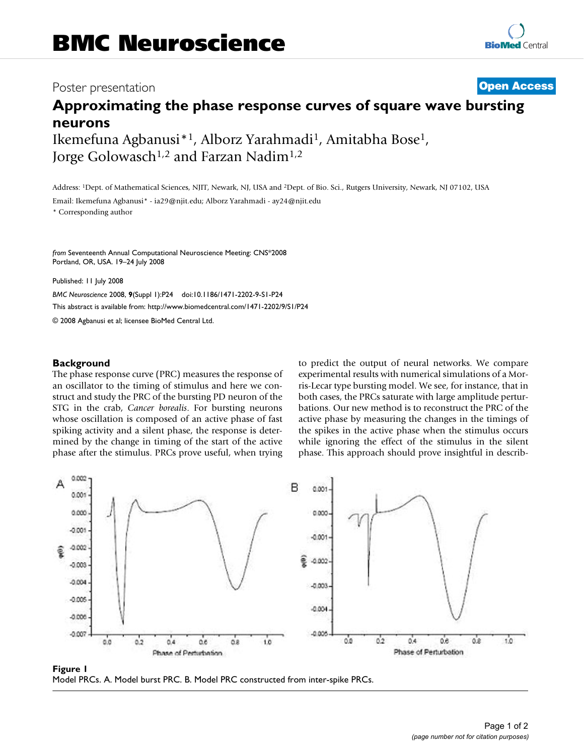## Poster presentation **Contract Contract Contract Contract Contract Contract Contract Contract Contract Contract Contract Contract Contract Contract Contract Contract Contract Contract Contract Contract Contract Contract Con**

# **Approximating the phase response curves of square wave bursting neurons**

Ikemefuna Agbanusi\*1, Alborz Yarahmadi1, Amitabha Bose1, Jorge Golowasch<sup>1,2</sup> and Farzan Nadim<sup>1,2</sup>

Address: 1Dept. of Mathematical Sciences, NJIT, Newark, NJ, USA and 2Dept. of Bio. Sci., Rutgers University, Newark, NJ 07102, USA

Email: Ikemefuna Agbanusi\* - ia29@njit.edu; Alborz Yarahmadi - ay24@njit.edu

\* Corresponding author

*from* Seventeenth Annual Computational Neuroscience Meeting: CNS\*2008 Portland, OR, USA. 19–24 July 2008

Published: 11 July 2008

*BMC Neuroscience* 2008, **9**(Suppl 1):P24 doi:10.1186/1471-2202-9-S1-P24 [This abstract is available from: http://www.biomedcentral.com/1471-2202/9/S1/P24](http://www.biomedcentral.com/1471-2202/9/S1/P24)

© 2008 Agbanusi et al; licensee BioMed Central Ltd.

#### **Background**

The phase response curve (PRC) measures the response of an oscillator to the timing of stimulus and here we construct and study the PRC of the bursting PD neuron of the STG in the crab, *Cancer borealis*. For bursting neurons whose oscillation is composed of an active phase of fast spiking activity and a silent phase, the response is determined by the change in timing of the start of the active phase after the stimulus. PRCs prove useful, when trying to predict the output of neural networks. We compare experimental results with numerical simulations of a Morris-Lecar type bursting model. We see, for instance, that in both cases, the PRCs saturate with large amplitude perturbations. Our new method is to reconstruct the PRC of the active phase by measuring the changes in the timings of the spikes in the active phase when the stimulus occurs while ignoring the effect of the stimulus in the silent phase. This approach should prove insightful in describ-